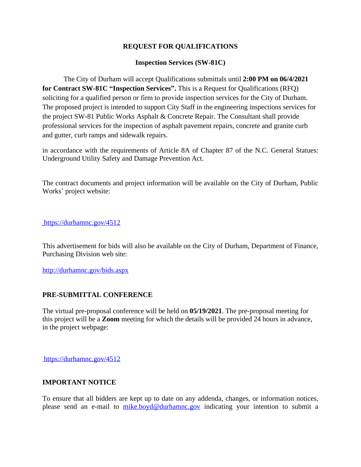## **REQUEST FOR QUALIFICATIONS**

## **Inspection Services (SW-81C)**

The City of Durham will accept Qualifications submittals until **2:00 PM on 06/4/2021 for Contract SW-81C "Inspection Services".** This is a Request for Qualifications (RFQ) soliciting for a qualified person or firm to provide inspection services for the City of Durham. The proposed project is intended to support City Staff in the engineering inspections services for the project SW-81 Public Works Asphalt & Concrete Repair. The Consultant shall provide professional services for the inspection of asphalt pavement repairs, concrete and granite curb and gutter, curb ramps and sidewalk repairs.

in accordance with the requirements of Article 8A of Chapter 87 of the N.C. General Statues: Underground Utility Safety and Damage Prevention Act.

The contract documents and project information will be available on the City of Durham, Public Works' project website:

[https://durhamnc.gov/4512]( https://durhamnc.gov/4512
)

[Th]( https://durhamnc.gov/4512
)is [advertisement]( https://durhamnc.gov/4512
) for bi[ds]( https://durhamnc.gov/4512
) [will]( https://durhamnc.gov/4512
) [also]( https://durhamnc.gov/4512
) [be]( https://durhamnc.gov/4512
) [available]( https://durhamnc.gov/4512
) on [the]( https://durhamnc.gov/4512
) City of Durham, [Department]( https://durhamnc.gov/4512
) of Finance, [Purchasing Division web site:]( https://durhamnc.gov/4512
)

<http://durhamnc.gov/bids.aspx>

## **PRE-SUBMITTAL CONFERENCE**

The virtual pre-proposal conference will be held on **05/19/2021**. The pre-proposal meeting for this project will be a **Zoom** meeting for which the details will be provided 24 hours in advance, in the project webpage:

[https://durhamnc.gov/4512]( https://durhamnc.gov/4512
)

## **[IMPORTANT NOTICE]( https://durhamnc.gov/4512
)**

To ensure that all bidders are kept up to date on any [addenda,]( https://durhamnc.gov/4512
) [c]( https://durhamnc.gov/4512
)hanges, or [information]( https://durhamnc.gov/4512
) notices, please send an [e-mail]( https://durhamnc.gov/4512
) to [mike.boyd@durhamnc.gov](mailto:mike.boyd@durhamnc.gov) indicating your intention to submit a